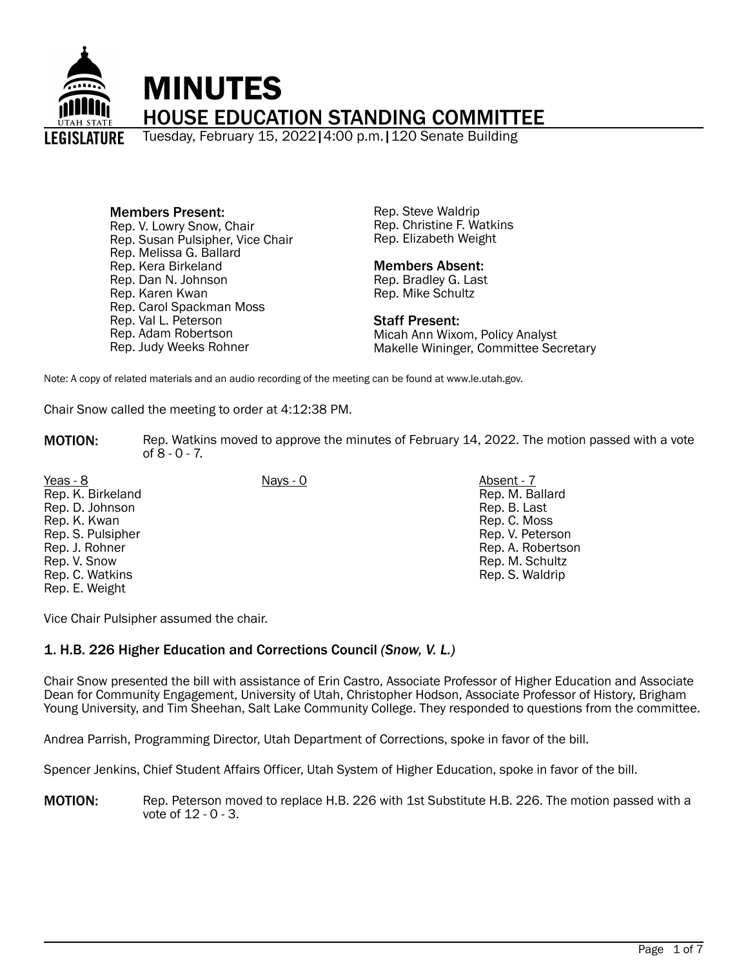

Members Present: Rep. V. Lowry Snow, Chair Rep. Susan Pulsipher, Vice Chair Rep. Melissa G. Ballard Rep. Kera Birkeland Rep. Dan N. Johnson Rep. Karen Kwan Rep. Carol Spackman Moss Rep. Val L. Peterson Rep. Adam Robertson Rep. Judy Weeks Rohner

Rep. Steve Waldrip Rep. Christine F. Watkins Rep. Elizabeth Weight

### Members Absent:

Rep. Bradley G. Last Rep. Mike Schultz

### Staff Present:

Micah Ann Wixom, Policy Analyst Makelle Wininger, Committee Secretary

Note: A copy of related materials and an audio recording of the meeting can be found at www.le.utah.gov.

Chair Snow called the meeting to order at 4:12:38 PM.

**MOTION:** Rep. Watkins moved to approve the minutes of February 14, 2022. The motion passed with a vote of 8 - 0 - 7.

Yeas - 8 Nays - 0 Absent - 7 Rep. K. Birkeland Rep. D. Johnson Rep. K. Kwan Rep. S. Pulsipher Rep. J. Rohner Rep. V. Snow Rep. C. Watkins Rep. E. Weight

Rep. M. Ballard Rep. B. Last Rep. C. Moss Rep. V. Peterson Rep. A. Robertson Rep. M. Schultz Rep. S. Waldrip

Vice Chair Pulsipher assumed the chair.

# 1. H.B. 226 Higher Education and Corrections Council *(Snow, V. L.)*

Chair Snow presented the bill with assistance of Erin Castro, Associate Professor of Higher Education and Associate Dean for Community Engagement, University of Utah, Christopher Hodson, Associate Professor of History, Brigham Young University, and Tim Sheehan, Salt Lake Community College. They responded to questions from the committee.

Andrea Parrish, Programming Director, Utah Department of Corrections, spoke in favor of the bill.

Spencer Jenkins, Chief Student Affairs Officer, Utah System of Higher Education, spoke in favor of the bill.

MOTION: Rep. Peterson moved to replace H.B. 226 with 1st Substitute H.B. 226. The motion passed with a vote of 12 - 0 - 3.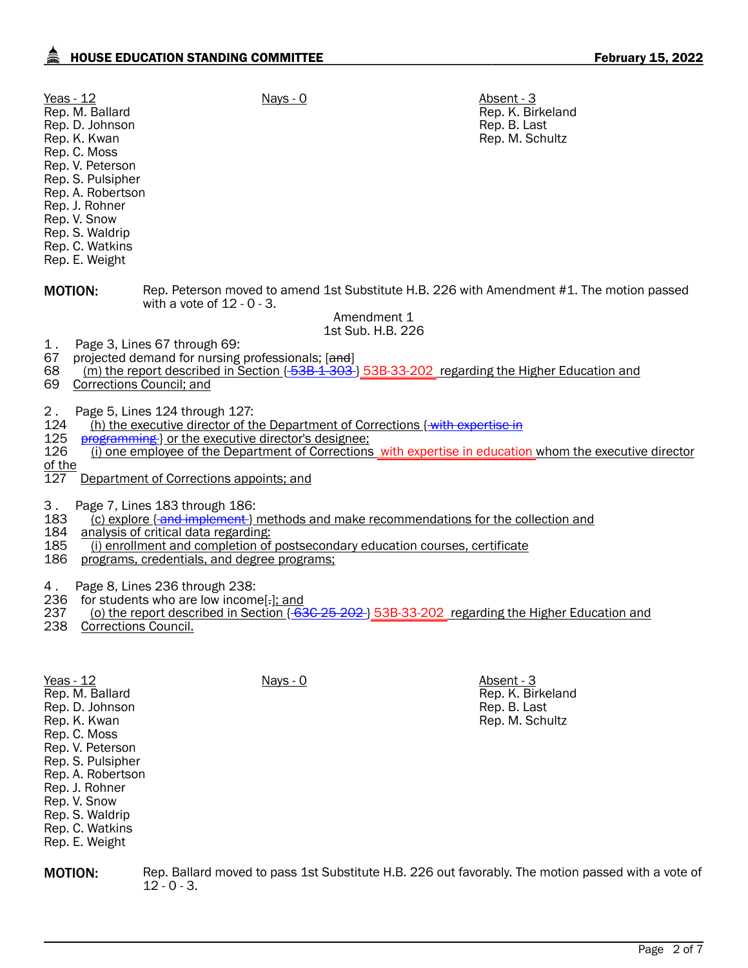| Yeas - 12<br>Rep. M. Ballard<br>Rep. D. Johnson<br>Rep. K. Kwan<br>Rep. C. Moss<br>Rep. V. Peterson<br>Rep. S. Pulsipher<br>Rep. A. Robertson<br>Rep. J. Rohner<br>Rep. V. Snow<br>Rep. S. Waldrip<br>Rep. C. Watkins<br>Rep. E. Weight                                                                                           | $Nays - 0$                                                                                                                                                                     | Absent - 3<br>Rep. K. Birkeland<br>Rep. B. Last<br>Rep. M. Schultz                                        |  |  |  |
|-----------------------------------------------------------------------------------------------------------------------------------------------------------------------------------------------------------------------------------------------------------------------------------------------------------------------------------|--------------------------------------------------------------------------------------------------------------------------------------------------------------------------------|-----------------------------------------------------------------------------------------------------------|--|--|--|
| <b>MOTION:</b>                                                                                                                                                                                                                                                                                                                    | with a vote of $12 - 0 - 3$ .<br>Amendment 1                                                                                                                                   | Rep. Peterson moved to amend 1st Substitute H.B. 226 with Amendment #1. The motion passed                 |  |  |  |
|                                                                                                                                                                                                                                                                                                                                   | 1st Sub. H.B. 226                                                                                                                                                              |                                                                                                           |  |  |  |
| Page 3, Lines 67 through 69:<br>1.<br>67<br>68<br>69<br>Corrections Council; and                                                                                                                                                                                                                                                  | projected demand for nursing professionals; [and]                                                                                                                              | (m) the report described in Section [53B-1-303] 53B-33-202 regarding the Higher Education and             |  |  |  |
| 2.<br>Page 5, Lines 124 through 127:<br>124<br>125<br>126<br>of the<br>127                                                                                                                                                                                                                                                        | (h) the executive director of the Department of Corrections {with expertise in<br>programming or the executive director's designee;<br>Department of Corrections appoints; and | (i) one employee of the Department of Corrections with expertise in education whom the executive director |  |  |  |
| Page 7, Lines 183 through 186:<br>З.<br>183<br>(c) explore { and implement } methods and make recommendations for the collection and<br>184<br>analysis of critical data regarding:<br>185<br>(i) enrollment and completion of postsecondary education courses, certificate<br>186<br>programs, credentials, and degree programs; |                                                                                                                                                                                |                                                                                                           |  |  |  |
| Page 8, Lines 236 through 238:<br>4.<br>236<br>for students who are low income[-]; and<br>(o) the report described in Section {636-25-202} 53B-33-202 regarding the Higher Education and<br>237<br>238 Corrections Council.                                                                                                       |                                                                                                                                                                                |                                                                                                           |  |  |  |
| Yeas - 12<br>Rep. M. Ballard<br>Rep. D. Johnson<br>Rep. K. Kwan<br>Rep. C. Moss<br>Rep. V. Peterson<br>Rep. S. Pulsipher<br>Rep. A. Robertson<br>Rep. J. Rohner<br>Rep. V. Snow<br>Rep. S. Waldrip<br>Rep. C. Watkins<br>Rep. E. Weight                                                                                           | Nays - 0                                                                                                                                                                       | Absent - 3<br>Rep. K. Birkeland<br>Rep. B. Last<br>Rep. M. Schultz                                        |  |  |  |

**MOTION:** Rep. Ballard moved to pass 1st Substitute H.B. 226 out favorably. The motion passed with a vote of 12 - 0 - 3.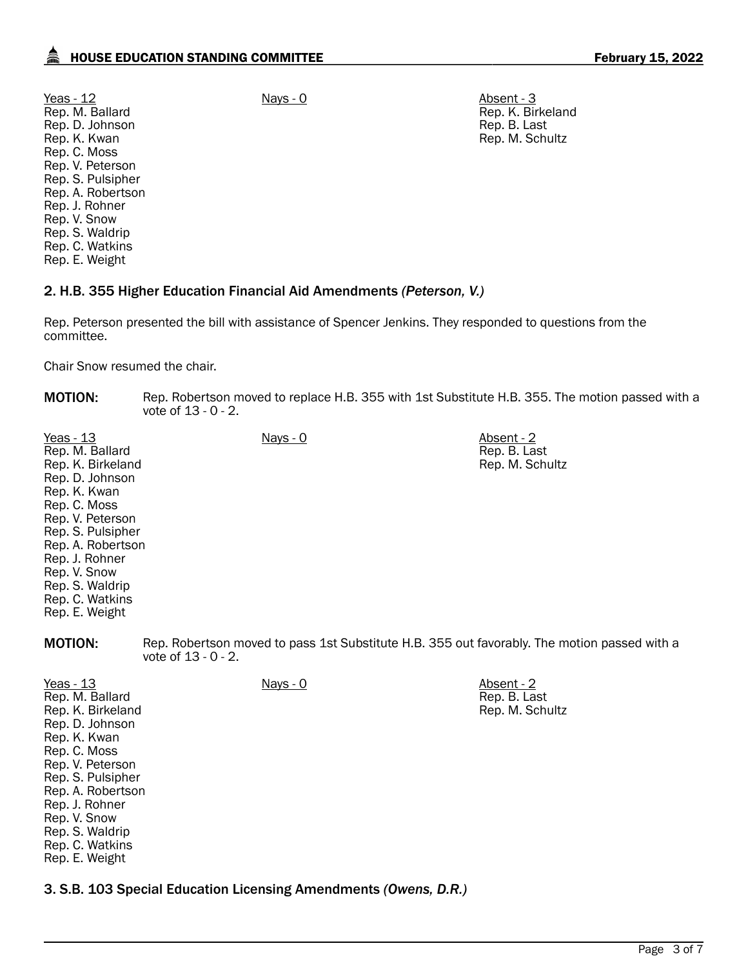Yeas - 12 Nays - 0 Nays - 0 Absent - 3 Rep. M. Ballard Rep. D. Johnson Rep. K. Kwan Rep. C. Moss Rep. V. Peterson Rep. S. Pulsipher Rep. A. Robertson Rep. J. Rohner Rep. V. Snow Rep. S. Waldrip Rep. C. Watkins Rep. E. Weight

Rep. K. Birkeland Rep. B. Last Rep. M. Schultz

# 2. H.B. 355 Higher Education Financial Aid Amendments *(Peterson, V.)*

Rep. Peterson presented the bill with assistance of Spencer Jenkins. They responded to questions from the committee.

Chair Snow resumed the chair.

Rep. K. Kwan Rep. C. Moss Rep. V. Peterson Rep. S. Pulsipher Rep. A. Robertson Rep. J. Rohner Rep. V. Snow Rep. S. Waldrip Rep. C. Watkins Rep. E. Weight

| <b>MOTION:</b>                                                                                                                                                                                                                                               | Rep. Robertson moved to replace H.B. 355 with 1st Substitute H.B. 355. The motion passed with a<br>vote of $13 - 0 - 2$ . |                                                                                              |                                               |
|--------------------------------------------------------------------------------------------------------------------------------------------------------------------------------------------------------------------------------------------------------------|---------------------------------------------------------------------------------------------------------------------------|----------------------------------------------------------------------------------------------|-----------------------------------------------|
| Yeas - 13<br>Rep. M. Ballard<br>Rep. K. Birkeland<br>Rep. D. Johnson<br>Rep. K. Kwan<br>Rep. C. Moss<br>Rep. V. Peterson<br>Rep. S. Pulsipher<br>Rep. A. Robertson<br>Rep. J. Rohner<br>Rep. V. Snow<br>Rep. S. Waldrip<br>Rep. C. Watkins<br>Rep. E. Weight |                                                                                                                           | $Nays - 0$                                                                                   | Absent - 2<br>Rep. B. Last<br>Rep. M. Schultz |
| <b>MOTION:</b>                                                                                                                                                                                                                                               | vote of $13 - 0 - 2$ .                                                                                                    | Rep. Robertson moved to pass 1st Substitute H.B. 355 out favorably. The motion passed with a |                                               |
| Yeas - 13<br>Rep. M. Ballard<br>Rep. K. Birkeland<br>Rep. D. Johnson                                                                                                                                                                                         |                                                                                                                           | <u>Nays - 0</u>                                                                              | Absent - 2<br>Rep. B. Last<br>Rep. M. Schultz |

3. S.B. 103 Special Education Licensing Amendments *(Owens, D.R.)*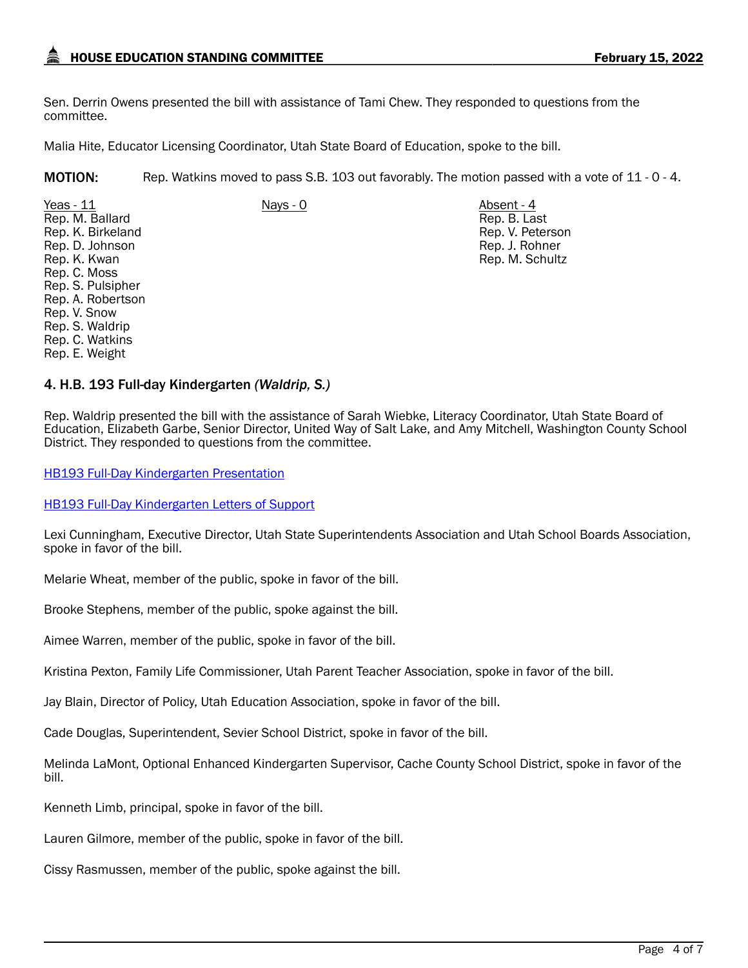Sen. Derrin Owens presented the bill with assistance of Tami Chew. They responded to questions from the committee.

Malia Hite, Educator Licensing Coordinator, Utah State Board of Education, spoke to the bill.

MOTION: Rep. Watkins moved to pass S.B. 103 out favorably. The motion passed with a vote of 11 - 0 - 4.

Yeas - 11 Nays - 0 Nays - 0 Absent - 4 Rep. M. Ballard Rep. K. Birkeland Rep. D. Johnson Rep. K. Kwan Rep. C. Moss Rep. S. Pulsipher Rep. A. Robertson Rep. V. Snow Rep. S. Waldrip Rep. C. Watkins Rep. E. Weight

Rep. B. Last Rep. V. Peterson Rep. J. Rohner Rep. M. Schultz

### 4. H.B. 193 Full-day Kindergarten *(Waldrip, S.)*

Rep. Waldrip presented the bill with the assistance of Sarah Wiebke, Literacy Coordinator, Utah State Board of Education, Elizabeth Garbe, Senior Director, United Way of Salt Lake, and Amy Mitchell, Washington County School District. They responded to questions from the committee.

[HB193 Full-Day Kindergarten Presentation](https://le.utah.gov/interim/2022/pdf/00001781.pdf)

[HB193 Full-Day Kindergarten Letters of Support](https://le.utah.gov/interim/2022/pdf/00001782.pdf)

Lexi Cunningham, Executive Director, Utah State Superintendents Association and Utah School Boards Association, spoke in favor of the bill.

Melarie Wheat, member of the public, spoke in favor of the bill.

Brooke Stephens, member of the public, spoke against the bill.

Aimee Warren, member of the public, spoke in favor of the bill.

Kristina Pexton, Family Life Commissioner, Utah Parent Teacher Association, spoke in favor of the bill.

Jay Blain, Director of Policy, Utah Education Association, spoke in favor of the bill.

Cade Douglas, Superintendent, Sevier School District, spoke in favor of the bill.

Melinda LaMont, Optional Enhanced Kindergarten Supervisor, Cache County School District, spoke in favor of the bill.

Kenneth Limb, principal, spoke in favor of the bill.

Lauren Gilmore, member of the public, spoke in favor of the bill.

Cissy Rasmussen, member of the public, spoke against the bill.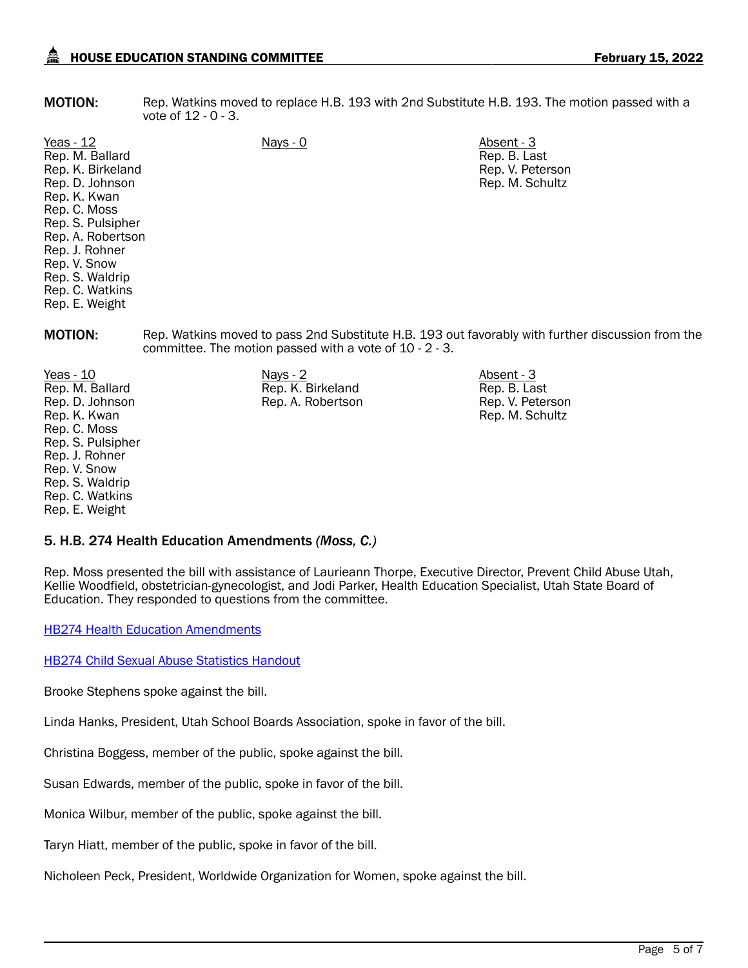**MOTION:** Rep. Watkins moved to replace H.B. 193 with 2nd Substitute H.B. 193. The motion passed with a vote of 12 - 0 - 3.

Yeas - 12 Nays - 0 Nays - 0 Absent - 3 Rep. M. Ballard Rep. K. Birkeland Rep. D. Johnson Rep. K. Kwan Rep. C. Moss Rep. S. Pulsipher Rep. A. Robertson Rep. J. Rohner Rep. V. Snow Rep. S. Waldrip Rep. C. Watkins Rep. E. Weight

Rep. B. Last Rep. V. Peterson Rep. M. Schultz

MOTION: Rep. Watkins moved to pass 2nd Substitute H.B. 193 out favorably with further discussion from the committee. The motion passed with a vote of 10 - 2 - 3.

<u>Yeas - 10</u> Nays - 2 Nays - 2 Absent - 3 Rep. M. Ballard Rep. D. Johnson Rep. K. Kwan Rep. C. Moss Rep. S. Pulsipher Rep. J. Rohner Rep. V. Snow Rep. S. Waldrip Rep. C. Watkins Rep. E. Weight

Rep. K. Birkeland Rep. A. Robertson Rep. B. Last Rep. V. Peterson Rep. M. Schultz

# 5. H.B. 274 Health Education Amendments *(Moss, C.)*

Rep. Moss presented the bill with assistance of Laurieann Thorpe, Executive Director, Prevent Child Abuse Utah, Kellie Woodfield, obstetrician-gynecologist, and Jodi Parker, Health Education Specialist, Utah State Board of Education. They responded to questions from the committee.

[HB274 Health Education Amendments](https://le.utah.gov/interim/2022/pdf/00001785.pdf)

[HB274 Child Sexual Abuse Statistics Handout](https://le.utah.gov/interim/2022/pdf/00001784.pdf)

Brooke Stephens spoke against the bill.

Linda Hanks, President, Utah School Boards Association, spoke in favor of the bill.

Christina Boggess, member of the public, spoke against the bill.

Susan Edwards, member of the public, spoke in favor of the bill.

Monica Wilbur, member of the public, spoke against the bill.

Taryn Hiatt, member of the public, spoke in favor of the bill.

Nicholeen Peck, President, Worldwide Organization for Women, spoke against the bill.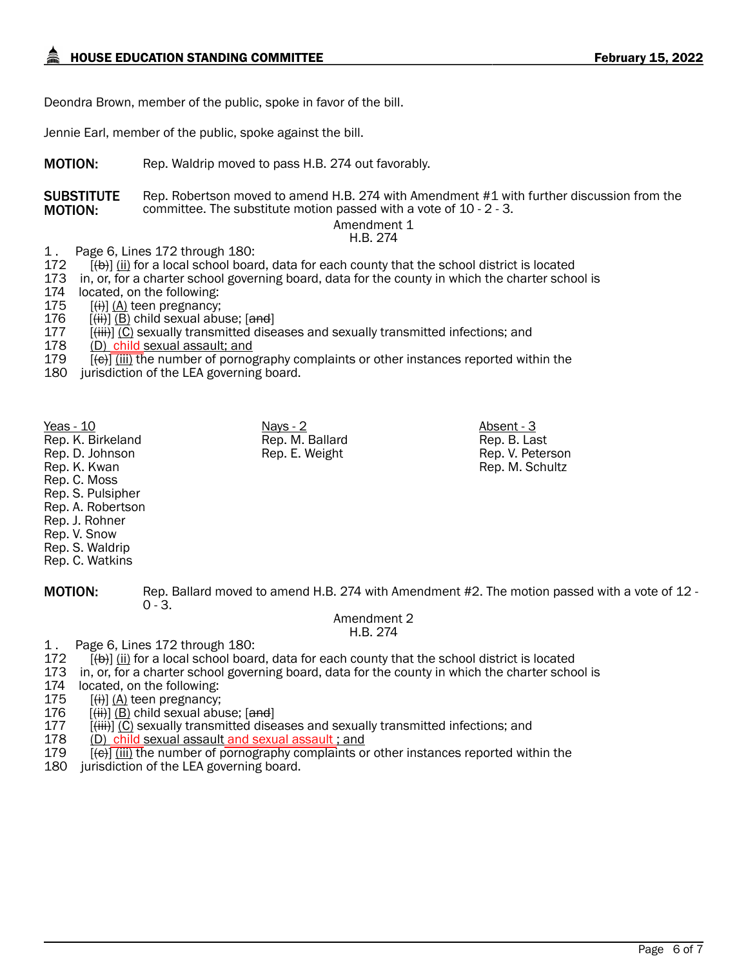Deondra Brown, member of the public, spoke in favor of the bill.

Jennie Earl, member of the public, spoke against the bill.

**MOTION:** Rep. Waldrip moved to pass H.B. 274 out favorably.

**SUBSTITUTE** MOTION: Rep. Robertson moved to amend H.B. 274 with Amendment #1 with further discussion from the committee. The substitute motion passed with a vote of 10 - 2 - 3.

Amendment 1 H.B. 274

1 . Page 6, Lines 172 through 180:

 $172$   $[\text{+})$   $[\text{ii}]$  for a local school board, data for each county that the school district is located 173 in, or, for a charter school governing board, data for the county in which the charter scho 173 in, or, for a charter school governing board, data for the county in which the charter school is 174 located, on the following:

located, on the following:

175  $[(ii)]$  (A) teen pregnancy;

176  $[(iii)] (B)$  child sexual abuse;  $[and]$ <br>177  $[(iii)] (C)$  sexually transmitted dise

177 [<del>(iii)</del>] (C) sexually transmitted diseases and sexually transmitted infections; and<br>178 (D) child sexual assault: and

178 (D) child sexual assault; and<br>179  $[f(e)]$  (iii) the number of pornog

 $[(-6)]$  (iii) the number of pornography complaints or other instances reported within the

180 jurisdiction of the LEA governing board.

<u>Yeas - 10</u> Nays - 2 Nays - 2 Absent - 3 Rep. K. Birkeland Rep. D. Johnson Rep. K. Kwan Rep. C. Moss Rep. S. Pulsipher Rep. A. Robertson Rep. J. Rohner Rep. V. Snow Rep. S. Waldrip Rep. C. Watkins

MOTION: Rep. Ballard moved to amend H.B. 274 with Amendment #2. The motion passed with a vote of 12 - $0 - 3.$ 

#### Amendment 2 H.B. 274

1 . Page 6, Lines 172 through 180:

- $\overline{[4b]}$  (ii) for a local school board, data for each county that the school district is located
- 173 in, or, for a charter school governing board, data for the county in which the charter school is
- 174 located, on the following:

175 [<del>(i)</del>] <u>(A)</u> teen pregnancy;<br>176 [<del>(ii)</del>] (B) child sexual abu 176 [<del>(ii)</del>] <u>(B)</u> child sexual abuse; [<del>and</del>]<br>177 [<del>(iii)</del>] (C) sexually transmitted dise

177 [<del>(iii)</del>] (C) sexually transmitted diseases and sexually transmitted infections; and 178 (D) child sexual assault and sexual assault it and

- 178 (D) child sexual assault and sexual assault ; and<br>179 (e) (iii) the number of pornography complaints of
- $\overline{f(e)}$  (iii) the number of pornography complaints or other instances reported within the
- 180 jurisdiction of the LEA governing board.

Rep. M. Ballard Rep. E. Weight

Rep. B. Last Rep. V. Peterson Rep. M. Schultz